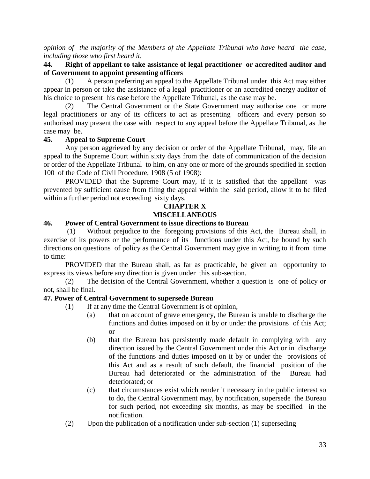*opinion of the majority of the Members of the Appellate Tribunal who have heard the case, including those who first heard it.*

## **44. Right of appellant to take assistance of legal practitioner or accredited auditor and of Government to appoint presenting officers**

(1) A person preferring an appeal to the Appellate Tribunal under this Act may either appear in person or take the assistance of a legal practitioner or an accredited energy auditor of his choice to present his case before the Appellate Tribunal, as the case may be.

(2) The Central Government or the State Government may authorise one or more legal practitioners or any of its officers to act as presenting officers and every person so authorised may present the case with respect to any appeal before the Appellate Tribunal, as the case may be.

#### **45. Appeal to Supreme Court**

Any person aggrieved by any decision or order of the Appellate Tribunal, may, file an appeal to the Supreme Court within sixty days from the date of communication of the decision or order of the Appellate Tribunal to him, on any one or more of the grounds specified in section 100 of the Code of Civil Procedure, 1908 (5 of 1908):

PROVIDED that the Supreme Court may, if it is satisfied that the appellant was prevented by sufficient cause from filing the appeal within the said period, allow it to be filed within a further period not exceeding sixty days.

## **CHAPTER X MISCELLANEOUS**

### **46. Power of Central Government to issue directions to Bureau**

(1) Without prejudice to the foregoing provisions of this Act, the Bureau shall, in exercise of its powers or the performance of its functions under this Act, be bound by such directions on questions of policy as the Central Government may give in writing to it from time to time:

PROVIDED that the Bureau shall, as far as practicable, be given an opportunity to express its views before any direction is given under this sub-section.

(2) The decision of the Central Government, whether a question is one of policy or not, shall be final.

#### **47. Power of Central Government to supersede Bureau**

- (1) If at any time the Central Government is of opinion,—
	- (a) that on account of grave emergency, the Bureau is unable to discharge the functions and duties imposed on it by or under the provisions of this Act; or
	- (b) that the Bureau has persistently made default in complying with any direction issued by the Central Government under this Act or in discharge of the functions and duties imposed on it by or under the provisions of this Act and as a result of such default, the financial position of the Bureau had deteriorated or the administration of the Bureau had deteriorated; or
	- (c) that circumstances exist which render it necessary in the public interest so to do, the Central Government may, by notification, supersede the Bureau for such period, not exceeding six months, as may be specified in the notification.
- (2) Upon the publication of a notification under sub-section (1) superseding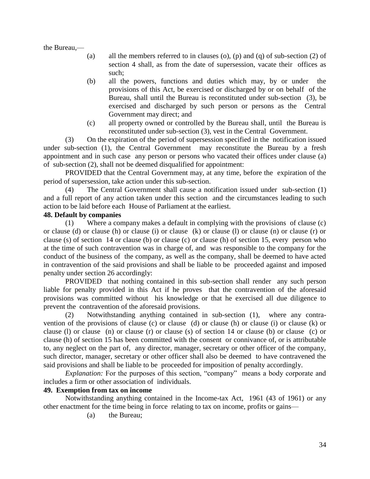the Bureau,—

- (a) all the members referred to in clauses (o), (p) and (q) of sub-section (2) of section 4 shall, as from the date of supersession, vacate their offices as such;
- (b) all the powers, functions and duties which may, by or under the provisions of this Act, be exercised or discharged by or on behalf of the Bureau, shall until the Bureau is reconstituted under sub-section (3), be exercised and discharged by such person or persons as the Central Government may direct; and
- (c) all property owned or controlled by the Bureau shall, until the Bureau is reconstituted under sub-section (3), vest in the Central Government.

(3) On the expiration of the period of supersession specified in the notification issued under sub-section (1), the Central Government may reconstitute the Bureau by a fresh appointment and in such case any person or persons who vacated their offices under clause (a) of sub-section (2), shall not be deemed disqualified for appointment:

PROVIDED that the Central Government may, at any time, before the expiration of the period of supersession, take action under this sub-section.

(4) The Central Government shall cause a notification issued under sub-section (1) and a full report of any action taken under this section and the circumstances leading to such action to be laid before each House of Parliament at the earliest.

#### **48. Default by companies**

(1) Where a company makes a default in complying with the provisions of clause (c) or clause (d) or clause (h) or clause (i) or clause (k) or clause (l) or clause (n) or clause (r) or clause (s) of section 14 or clause (b) or clause (c) or clause (h) of section 15, every person who at the time of such contravention was in charge of, and was responsible to the company for the conduct of the business of the company, as well as the company, shall be deemed to have acted in contravention of the said provisions and shall be liable to be proceeded against and imposed penalty under section 26 accordingly:

PROVIDED that nothing contained in this sub-section shall render any such person liable for penalty provided in this Act if he proves that the contravention of the aforesaid provisions was committed without his knowledge or that he exercised all due diligence to prevent the contravention of the aforesaid provisions.

(2) Notwithstanding anything contained in sub-section (1), where any contravention of the provisions of clause (c) or clause (d) or clause (h) or clause (i) or clause (k) or clause (l) or clause (n) or clause (r) or clause (s) of section 14 or clause (b) or clause (c) or clause (h) of section 15 has been committed with the consent or connivance of, or is attributable to, any neglect on the part of, any director, manager, secretary or other officer of the company, such director, manager, secretary or other officer shall also be deemed to have contravened the said provisions and shall be liable to be proceeded for imposition of penalty accordingly.

*Explanation:* For the purposes of this section, "company" means a body corporate and includes a firm or other association of individuals.

#### **49. Exemption from tax on income**

Notwithstanding anything contained in the Income-tax Act, 1961 (43 of 1961) or any other enactment for the time being in force relating to tax on income, profits or gains—

(a) the Bureau;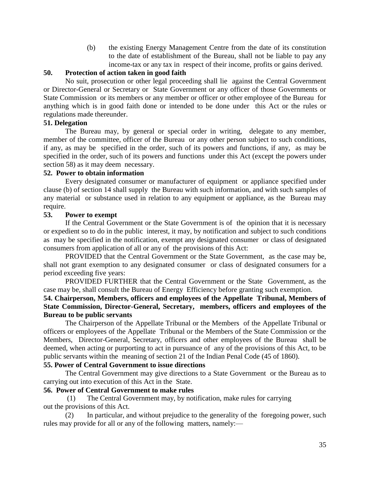(b) the existing Energy Management Centre from the date of its constitution to the date of establishment of the Bureau, shall not be liable to pay any income-tax or any tax in respect of their income, profits or gains derived.

## **50. Protection of action taken in good faith**

No suit, prosecution or other legal proceeding shall lie against the Central Government or Director-General or Secretary or State Government or any officer of those Governments or State Commission or its members or any member or officer or other employee of the Bureau for anything which is in good faith done or intended to be done under this Act or the rules or regulations made thereunder.

## **51. Delegation**

The Bureau may, by general or special order in writing, delegate to any member, member of the committee, officer of the Bureau or any other person subject to such conditions, if any, as may be specified in the order, such of its powers and functions, if any, as may be specified in the order, such of its powers and functions under this Act (except the powers under section 58) as it may deem necessary.

#### **52. Power to obtain information**

Every designated consumer or manufacturer of equipment or appliance specified under clause (b) of section 14 shall supply the Bureau with such information, and with such samples of any material or substance used in relation to any equipment or appliance, as the Bureau may require.

#### **53. Power to exempt**

If the Central Government or the State Government is of the opinion that it is necessary or expedient so to do in the public interest, it may, by notification and subject to such conditions as may be specified in the notification, exempt any designated consumer or class of designated consumers from application of all or any of the provisions of this Act:

PROVIDED that the Central Government or the State Government, as the case may be, shall not grant exemption to any designated consumer or class of designated consumers for a period exceeding five years:

PROVIDED FURTHER that the Central Government or the State Government, as the case may be, shall consult the Bureau of Energy Efficiency before granting such exemption.

## **54. Chairperson, Members, officers and employees of the Appellate Tribunal, Members of State Commission, Director-General, Secretary, members, officers and employees of the Bureau to be public servants**

The Chairperson of the Appellate Tribunal or the Members of the Appellate Tribunal or officers or employees of the Appellate Tribunal or the Members of the State Commission or the Members, Director-General, Secretary, officers and other employees of the Bureau shall be deemed, when acting or purporting to act in pursuance of any of the provisions of this Act, to be public servants within the meaning of section 21 of the Indian Penal Code (45 of 1860).

#### **55. Power of Central Government to issue directions**

The Central Government may give directions to a State Government or the Bureau as to carrying out into execution of this Act in the State.

#### **56. Power of Central Government to make rules**

(1) The Central Government may, by notification, make rules for carrying out the provisions of this Act.

(2) In particular, and without prejudice to the generality of the foregoing power, such rules may provide for all or any of the following matters, namely:—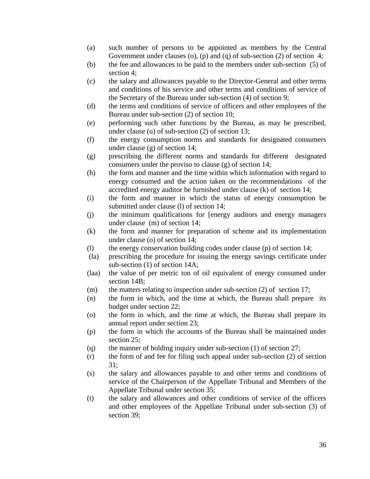- (a) such number of persons to be appointed as members by the Central Government under clauses (o), (p) and (q) of sub-section (2) of section 4;
- (b) the fee and allowances to be paid to the members under sub-section (5) of section 4;
- (c) the salary and allowances payable to the Director-General and other terms and conditions of his service and other terms and conditions of service of the Secretary of the Bureau under sub-section (4) of section 9;
- (d) the terms and conditions of service of officers and other employees of the Bureau under sub-section (2) of section 10;
- (e) performing such other functions by the Bureau, as may be prescribed, under clause (u) of sub-section (2) of section 13;
- (f) the energy consumption norms and standards for designated consumers under clause (g) of section 14;
- (g) prescribing the different norms and standards for different designated consumers under the proviso to clause (g) of section 14;
- (h) the form and manner and the time within which information with regard to energy consumed and the action taken on the recommendations of the accredited energy auditor be furnished under clause (k) of section 14;
- (i) the form and manner in which the status of energy consumption be submitted under clause (l) of section 14;
- (j) the minimum qualifications for [energy auditors and energy managers under clause (m) of section 14;
- (k) the form and manner for preparation of scheme and its implementation under clause (o) of section 14;
- (l) the energy conservation building codes under clause (p) of section 14;
- (la) prescribing the procedure for issuing the energy savings certificate under sub-section (1) of section 14A;
- (laa) the value of per metric ton of oil equivalent of energy consumed under section 14B;
- $(m)$  the matters relating to inspection under sub-section (2) of section 17;
- (n) the form in which, and the time at which, the Bureau shall prepare its budget under section 22;
- (o) the form in which, and the time at which, the Bureau shall prepare its annual report under section 23;
- (p) the form in which the accounts of the Bureau shall be maintained under section 25;
- (q) the manner of holding inquiry under sub-section  $(1)$  of section  $27$ ;
- (r) the form of and fee for filing such appeal under sub-section (2) of section 31;
- (s) the salary and allowances payable to and other terms and conditions of service of the Chairperson of the Appellate Tribunal and Members of the Appellate Tribunal under section 35;
- (t) the salary and allowances and other conditions of service of the officers and other employees of the Appellate Tribunal under sub-section (3) of section 39;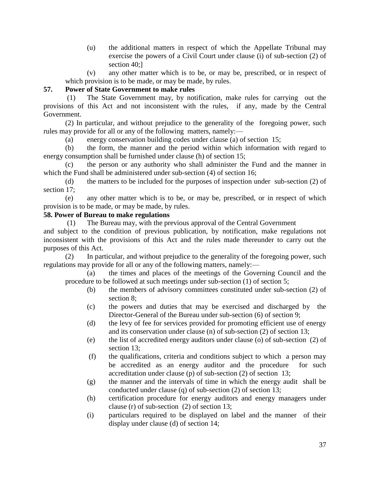(u) the additional matters in respect of which the Appellate Tribunal may exercise the powers of a Civil Court under clause (i) of sub-section (2) of section 40;]

(v) any other matter which is to be, or may be, prescribed, or in respect of which provision is to be made, or may be made, by rules.

## **57. Power of State Government to make rules**

(1) The State Government may, by notification, make rules for carrying out the provisions of this Act and not inconsistent with the rules, if any, made by the Central Government.

(2) In particular, and without prejudice to the generality of the foregoing power, such rules may provide for all or any of the following matters, namely:—

(a) energy conservation building codes under clause (a) of section 15;

(b) the form, the manner and the period within which information with regard to energy consumption shall be furnished under clause (h) of section 15;

(c) the person or any authority who shall administer the Fund and the manner in which the Fund shall be administered under sub-section (4) of section 16;

(d) the matters to be included for the purposes of inspection under sub-section (2) of section 17:

(e) any other matter which is to be, or may be, prescribed, or in respect of which provision is to be made, or may be made, by rules.

#### **58. Power of Bureau to make regulations**

(1) The Bureau may, with the previous approval of the Central Government

and subject to the condition of previous publication, by notification, make regulations not inconsistent with the provisions of this Act and the rules made thereunder to carry out the purposes of this Act.

(2) In particular, and without prejudice to the generality of the foregoing power, such regulations may provide for all or any of the following matters, namely:—

(a) the times and places of the meetings of the Governing Council and the procedure to be followed at such meetings under sub-section (1) of section 5;

- (b) the members of advisory committees constituted under sub-section (2) of section 8;
- (c) the powers and duties that may be exercised and discharged by the Director-General of the Bureau under sub-section (6) of section 9;
- (d) the levy of fee for services provided for promoting efficient use of energy and its conservation under clause (n) of sub-section (2) of section 13;
- (e) the list of accredited energy auditors under clause (o) of sub-section (2) of section 13;
- (f) the qualifications, criteria and conditions subject to which a person may be accredited as an energy auditor and the procedure for such accreditation under clause (p) of sub-section (2) of section 13;
- (g) the manner and the intervals of time in which the energy audit shall be conducted under clause (q) of sub-section (2) of section 13;
- (h) certification procedure for energy auditors and energy managers under clause (r) of sub-section (2) of section 13;
- (i) particulars required to be displayed on label and the manner of their display under clause (d) of section 14;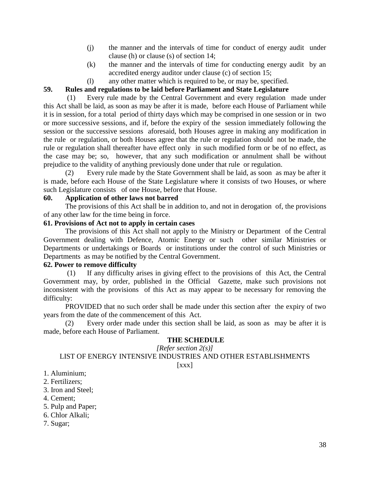- (j) the manner and the intervals of time for conduct of energy audit under clause (h) or clause (s) of section 14;
- (k) the manner and the intervals of time for conducting energy audit by an accredited energy auditor under clause (c) of section 15;
- (l) any other matter which is required to be, or may be, specified.

## **59. Rules and regulations to be laid before Parliament and State Legislature**

(1) Every rule made by the Central Government and every regulation made under this Act shall be laid, as soon as may be after it is made, before each House of Parliament while it is in session, for a total period of thirty days which may be comprised in one session or in two or more successive sessions, and if, before the expiry of the session immediately following the session or the successive sessions aforesaid, both Houses agree in making any modification in the rule or regulation, or both Houses agree that the rule or regulation should not be made, the rule or regulation shall thereafter have effect only in such modified form or be of no effect, as the case may be; so, however, that any such modification or annulment shall be without prejudice to the validity of anything previously done under that rule or regulation.

(2) Every rule made by the State Government shall be laid, as soon as may be after it is made, before each House of the State Legislature where it consists of two Houses, or where such Legislature consists of one House, before that House.

## **60. Application of other laws not barred**

The provisions of this Act shall be in addition to, and not in derogation of, the provisions of any other law for the time being in force.

#### **61. Provisions of Act not to apply in certain cases**

The provisions of this Act shall not apply to the Ministry or Department of the Central Government dealing with Defence, Atomic Energy or such other similar Ministries or Departments or undertakings or Boards or institutions under the control of such Ministries or Departments as may be notified by the Central Government.

#### **62. Power to remove difficulty**

(1) If any difficulty arises in giving effect to the provisions of this Act, the Central Government may, by order, published in the Official Gazette, make such provisions not inconsistent with the provisions of this Act as may appear to be necessary for removing the difficulty:

PROVIDED that no such order shall be made under this section after the expiry of two years from the date of the commencement of this Act.

(2) Every order made under this section shall be laid, as soon as may be after it is made, before each House of Parliament.

#### **THE SCHEDULE**

#### *[Refer section 2(s)]*

LIST OF ENERGY INTENSIVE INDUSTRIES AND OTHER ESTABLISHMENTS

[xxx]

- 1. Aluminium;
- 2. Fertilizers;
- 3. Iron and Steel;
- 4. Cement;
- 5. Pulp and Paper;
- 6. Chlor Alkali;
- 7. Sugar;